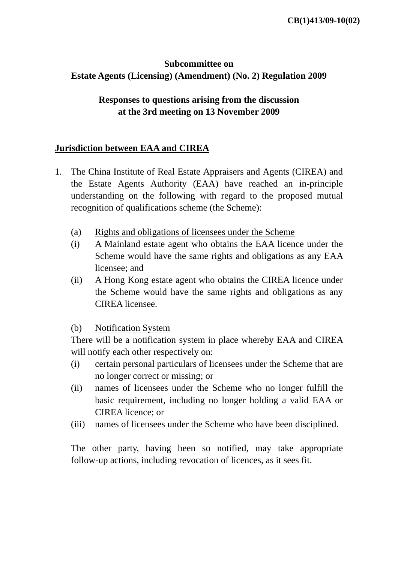## **Subcommittee on Estate Agents (Licensing) (Amendment) (No. 2) Regulation 2009**

## **Responses to questions arising from the discussion at the 3rd meeting on 13 November 2009**

## **Jurisdiction between EAA and CIREA**

- 1. The China Institute of Real Estate Appraisers and Agents (CIREA) and the Estate Agents Authority (EAA) have reached an in-principle understanding on the following with regard to the proposed mutual recognition of qualifications scheme (the Scheme):
	- (a) Rights and obligations of licensees under the Scheme
	- (i) A Mainland estate agent who obtains the EAA licence under the Scheme would have the same rights and obligations as any EAA licensee; and
	- (ii) A Hong Kong estate agent who obtains the CIREA licence under the Scheme would have the same rights and obligations as any CIREA licensee.
	- (b) Notification System

There will be a notification system in place whereby EAA and CIREA will notify each other respectively on:

- (i) certain personal particulars of licensees under the Scheme that are no longer correct or missing; or
- (ii) names of licensees under the Scheme who no longer fulfill the basic requirement, including no longer holding a valid EAA or CIREA licence; or
- (iii) names of licensees under the Scheme who have been disciplined.

The other party, having been so notified, may take appropriate follow-up actions, including revocation of licences, as it sees fit.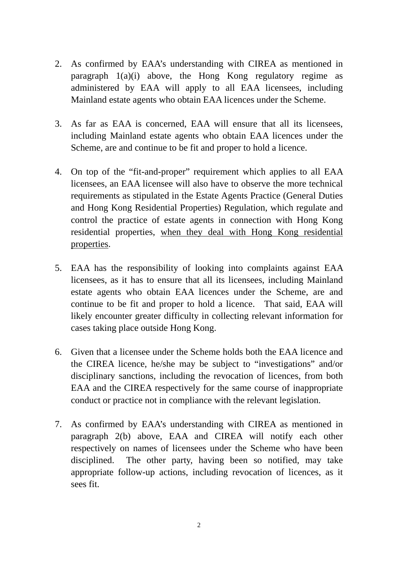- 2. As confirmed by EAA's understanding with CIREA as mentioned in paragraph 1(a)(i) above, the Hong Kong regulatory regime as administered by EAA will apply to all EAA licensees, including Mainland estate agents who obtain EAA licences under the Scheme.
- 3. As far as EAA is concerned, EAA will ensure that all its licensees, including Mainland estate agents who obtain EAA licences under the Scheme, are and continue to be fit and proper to hold a licence.
- 4. On top of the "fit-and-proper" requirement which applies to all EAA licensees, an EAA licensee will also have to observe the more technical requirements as stipulated in the Estate Agents Practice (General Duties and Hong Kong Residential Properties) Regulation, which regulate and control the practice of estate agents in connection with Hong Kong residential properties, when they deal with Hong Kong residential properties.
- 5. EAA has the responsibility of looking into complaints against EAA licensees, as it has to ensure that all its licensees, including Mainland estate agents who obtain EAA licences under the Scheme, are and continue to be fit and proper to hold a licence. That said, EAA will likely encounter greater difficulty in collecting relevant information for cases taking place outside Hong Kong.
- 6. Given that a licensee under the Scheme holds both the EAA licence and the CIREA licence, he/she may be subject to "investigations" and/or disciplinary sanctions, including the revocation of licences, from both EAA and the CIREA respectively for the same course of inappropriate conduct or practice not in compliance with the relevant legislation.
- 7. As confirmed by EAA's understanding with CIREA as mentioned in paragraph 2(b) above, EAA and CIREA will notify each other respectively on names of licensees under the Scheme who have been disciplined. The other party, having been so notified, may take appropriate follow-up actions, including revocation of licences, as it sees fit.